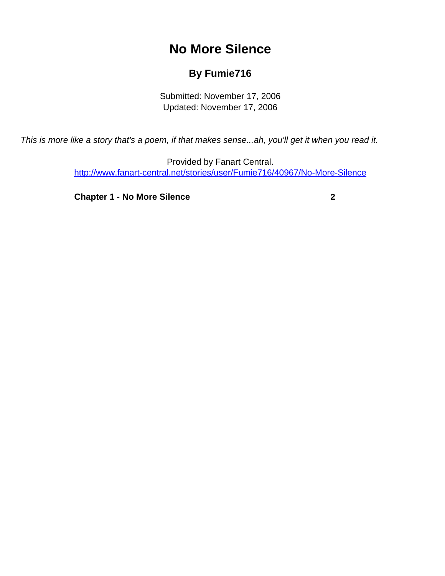## **No More Silence**

## **By Fumie716**

Submitted: November 17, 2006 Updated: November 17, 2006

<span id="page-0-0"></span>This is more like a story that's a poem, if that makes sense...ah, you'll get it when you read it.

Provided by Fanart Central. [http://www.fanart-central.net/stories/user/Fumie716/40967/No-More-Silence](#page-0-0)

**[Chapter 1 - No More Silence](#page-1-0) [2](#page-1-0)**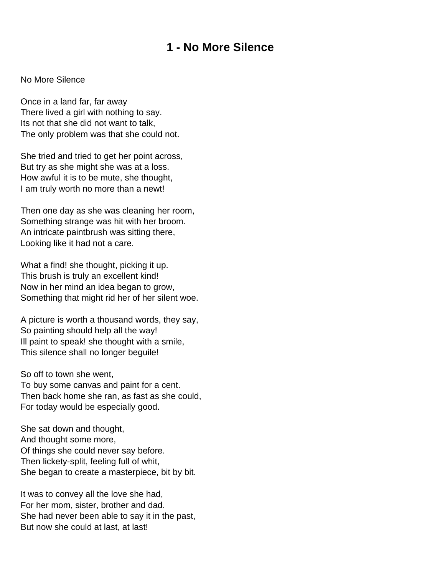## **1 - No More Silence**

## <span id="page-1-0"></span>No More Silence

Once in a land far, far away There lived a girl with nothing to say. It s not that she did not want to talk, The only problem was that she could not.

She tried and tried to get her point across, But try as she might she was at a loss. How awful it is to be mute, she thought, I am truly worth no more than a newt!

Then one day as she was cleaning her room, Something strange was hit with her broom. An intricate paintbrush was sitting there, Looking like it had not a care.

What a find! she thought, picking it up. This brush is truly an excellent kind! Now in her mind an idea began to grow, Something that might rid her of her silent woe.

A picture is worth a thousand words, they say, So painting should help all the way! I II paint to speak! she thought with a smile, This silence shall no longer beguile!

So off to town she went, To buy some canvas and paint for a cent. Then back home she ran, as fast as she could, For today would be especially good.

She sat down and thought, And thought some more, Of things she could never say before. Then lickety-split, feeling full of whit, She began to create a masterpiece, bit by bit.

It was to convey all the love she had, For her mom, sister, brother and dad. She had never been able to say it in the past, But now she could at last, at last!